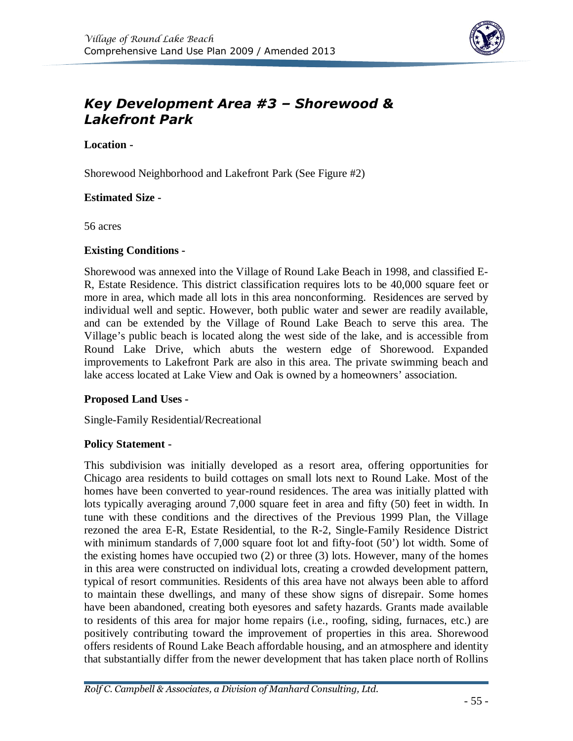

# *Key Development Area #3 – Shorewood & Lakefront Park*

**Location -**

Shorewood Neighborhood and Lakefront Park (See Figure #2)

## **Estimated Size -**

56 acres

### **Existing Conditions -**

Shorewood was annexed into the Village of Round Lake Beach in 1998, and classified E-R, Estate Residence. This district classification requires lots to be 40,000 square feet or more in area, which made all lots in this area nonconforming. Residences are served by individual well and septic. However, both public water and sewer are readily available, and can be extended by the Village of Round Lake Beach to serve this area. The Village's public beach is located along the west side of the lake, and is accessible from Round Lake Drive, which abuts the western edge of Shorewood. Expanded improvements to Lakefront Park are also in this area. The private swimming beach and lake access located at Lake View and Oak is owned by a homeowners' association.

### **Proposed Land Uses -**

Single-Family Residential/Recreational

### **Policy Statement -**

This subdivision was initially developed as a resort area, offering opportunities for Chicago area residents to build cottages on small lots next to Round Lake. Most of the homes have been converted to year-round residences. The area was initially platted with lots typically averaging around 7,000 square feet in area and fifty (50) feet in width. In tune with these conditions and the directives of the Previous 1999 Plan, the Village rezoned the area E-R, Estate Residential, to the R-2, Single-Family Residence District with minimum standards of 7,000 square foot lot and fifty-foot (50') lot width. Some of the existing homes have occupied two (2) or three (3) lots. However, many of the homes in this area were constructed on individual lots, creating a crowded development pattern, typical of resort communities. Residents of this area have not always been able to afford to maintain these dwellings, and many of these show signs of disrepair. Some homes have been abandoned, creating both eyesores and safety hazards. Grants made available to residents of this area for major home repairs (i.e., roofing, siding, furnaces, etc.) are positively contributing toward the improvement of properties in this area. Shorewood offers residents of Round Lake Beach affordable housing, and an atmosphere and identity that substantially differ from the newer development that has taken place north of Rollins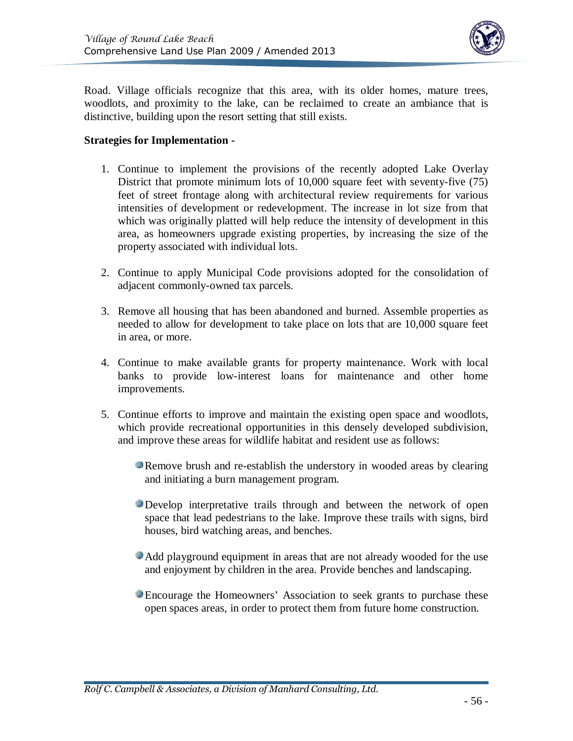

Road. Village officials recognize that this area, with its older homes, mature trees, woodlots, and proximity to the lake, can be reclaimed to create an ambiance that is distinctive, building upon the resort setting that still exists.

#### **Strategies for Implementation -**

- 1. Continue to implement the provisions of the recently adopted Lake Overlay District that promote minimum lots of 10,000 square feet with seventy-five (75) feet of street frontage along with architectural review requirements for various intensities of development or redevelopment. The increase in lot size from that which was originally platted will help reduce the intensity of development in this area, as homeowners upgrade existing properties, by increasing the size of the property associated with individual lots.
- 2. Continue to apply Municipal Code provisions adopted for the consolidation of adjacent commonly-owned tax parcels.
- 3. Remove all housing that has been abandoned and burned. Assemble properties as needed to allow for development to take place on lots that are 10,000 square feet in area, or more.
- 4. Continue to make available grants for property maintenance. Work with local banks to provide low-interest loans for maintenance and other home improvements.
- 5. Continue efforts to improve and maintain the existing open space and woodlots, which provide recreational opportunities in this densely developed subdivision, and improve these areas for wildlife habitat and resident use as follows:
	- Remove brush and re-establish the understory in wooded areas by clearing and initiating a burn management program.
	- Develop interpretative trails through and between the network of open space that lead pedestrians to the lake. Improve these trails with signs, bird houses, bird watching areas, and benches.
	- Add playground equipment in areas that are not already wooded for the use and enjoyment by children in the area. Provide benches and landscaping.
	- Encourage the Homeowners' Association to seek grants to purchase these open spaces areas, in order to protect them from future home construction.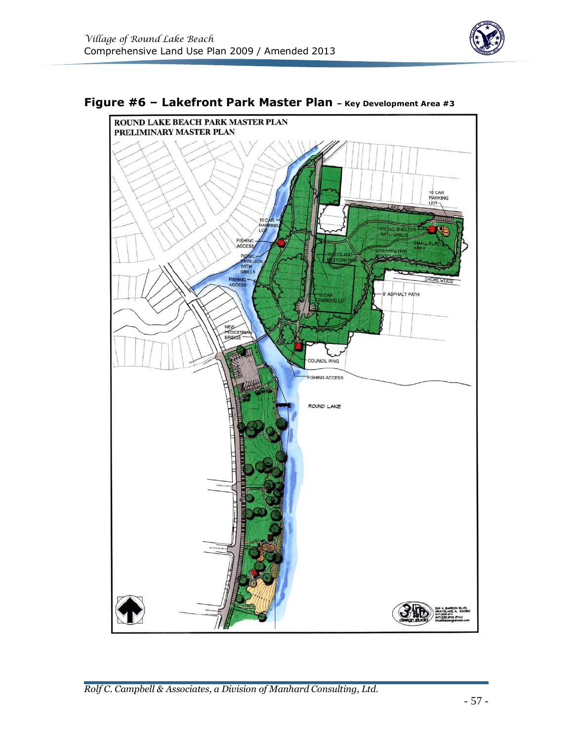





*Rolf C. Campbell & Associates, a Division of Manhard Consulting, Ltd.*